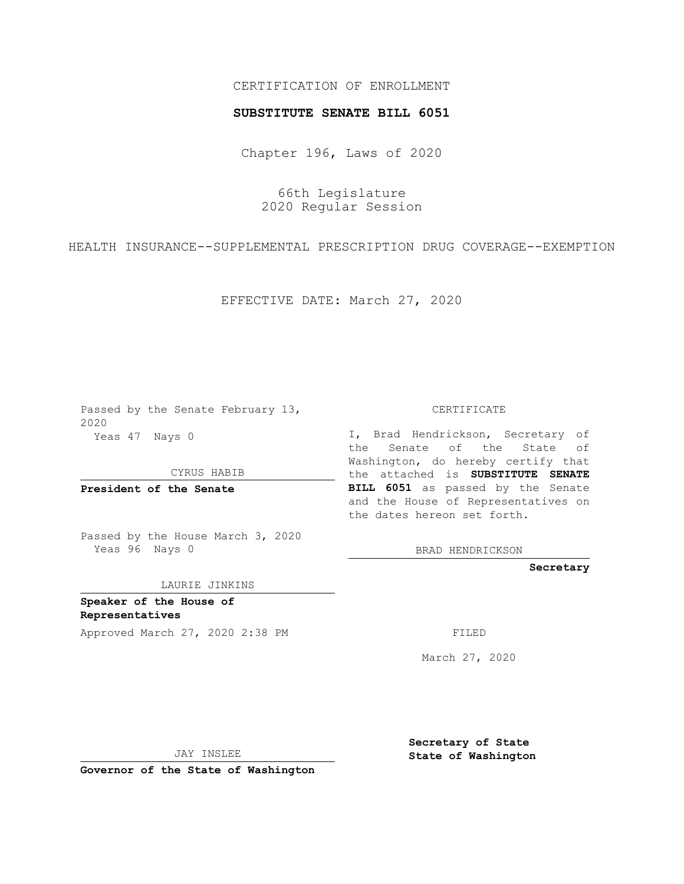## CERTIFICATION OF ENROLLMENT

## **SUBSTITUTE SENATE BILL 6051**

Chapter 196, Laws of 2020

66th Legislature 2020 Regular Session

HEALTH INSURANCE--SUPPLEMENTAL PRESCRIPTION DRUG COVERAGE--EXEMPTION

EFFECTIVE DATE: March 27, 2020

Passed by the Senate February 13, 2020 Yeas 47 Nays 0

CYRUS HABIB

**President of the Senate**

Passed by the House March 3, 2020 Yeas 96 Nays 0

LAURIE JINKINS

**Speaker of the House of Representatives**

Approved March 27, 2020 2:38 PM

CERTIFICATE

I, Brad Hendrickson, Secretary of the Senate of the State of Washington, do hereby certify that the attached is **SUBSTITUTE SENATE BILL 6051** as passed by the Senate and the House of Representatives on the dates hereon set forth.

BRAD HENDRICKSON

**Secretary**

March 27, 2020

JAY INSLEE

**Governor of the State of Washington**

**Secretary of State State of Washington**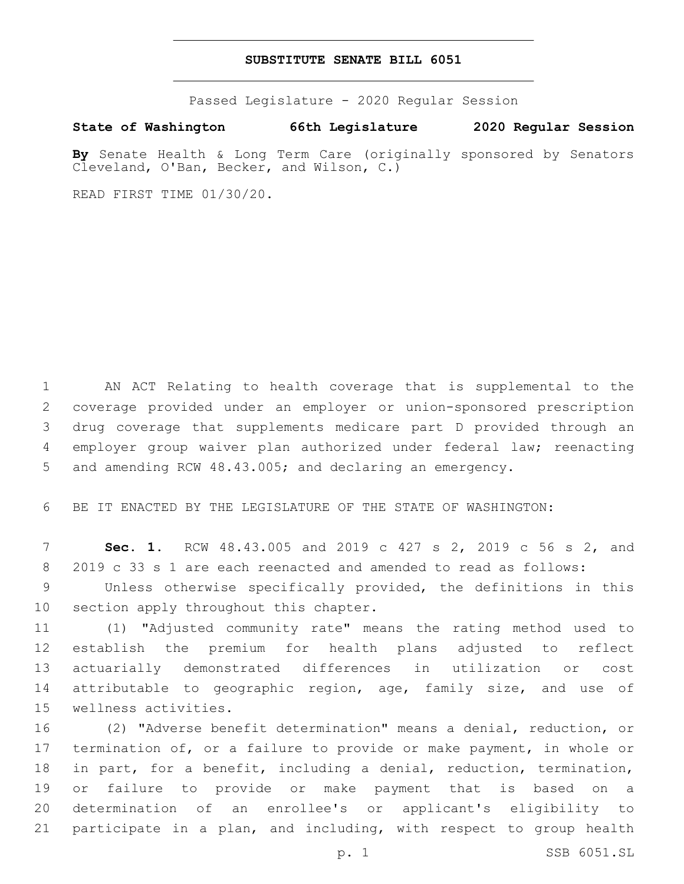## **SUBSTITUTE SENATE BILL 6051**

Passed Legislature - 2020 Regular Session

**State of Washington 66th Legislature 2020 Regular Session**

**By** Senate Health & Long Term Care (originally sponsored by Senators Cleveland, O'Ban, Becker, and Wilson, C.)

READ FIRST TIME 01/30/20.

 AN ACT Relating to health coverage that is supplemental to the coverage provided under an employer or union-sponsored prescription drug coverage that supplements medicare part D provided through an employer group waiver plan authorized under federal law; reenacting and amending RCW 48.43.005; and declaring an emergency.

BE IT ENACTED BY THE LEGISLATURE OF THE STATE OF WASHINGTON:

 **Sec. 1.** RCW 48.43.005 and 2019 c 427 s 2, 2019 c 56 s 2, and 2019 c 33 s 1 are each reenacted and amended to read as follows:

 Unless otherwise specifically provided, the definitions in this 10 section apply throughout this chapter.

 (1) "Adjusted community rate" means the rating method used to establish the premium for health plans adjusted to reflect actuarially demonstrated differences in utilization or cost 14 attributable to geographic region, age, family size, and use of 15 wellness activities.

 (2) "Adverse benefit determination" means a denial, reduction, or termination of, or a failure to provide or make payment, in whole or in part, for a benefit, including a denial, reduction, termination, or failure to provide or make payment that is based on a determination of an enrollee's or applicant's eligibility to participate in a plan, and including, with respect to group health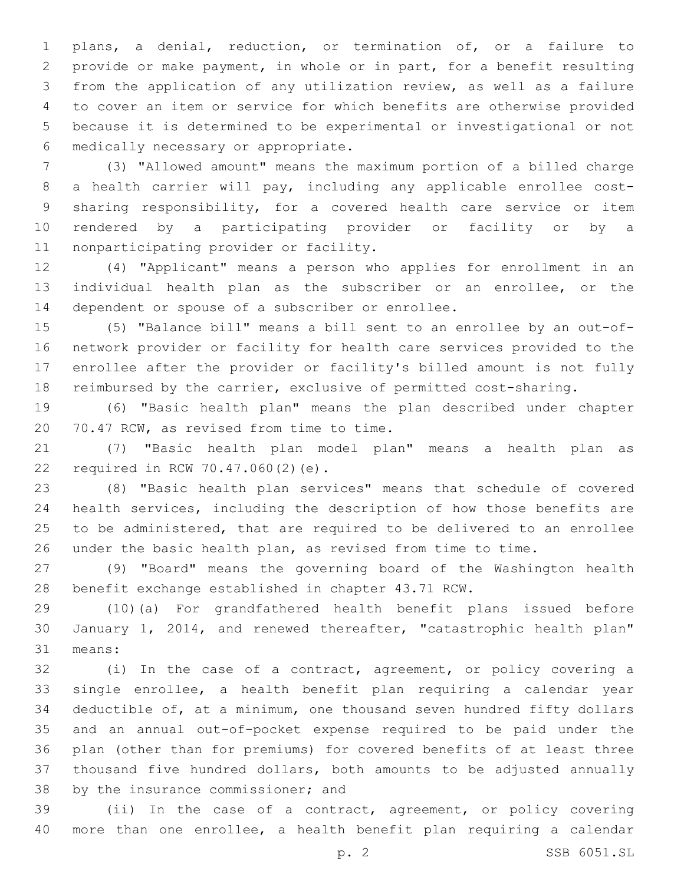plans, a denial, reduction, or termination of, or a failure to provide or make payment, in whole or in part, for a benefit resulting from the application of any utilization review, as well as a failure to cover an item or service for which benefits are otherwise provided because it is determined to be experimental or investigational or not 6 medically necessary or appropriate.

 (3) "Allowed amount" means the maximum portion of a billed charge a health carrier will pay, including any applicable enrollee cost- sharing responsibility, for a covered health care service or item rendered by a participating provider or facility or by a 11 nonparticipating provider or facility.

 (4) "Applicant" means a person who applies for enrollment in an individual health plan as the subscriber or an enrollee, or the 14 dependent or spouse of a subscriber or enrollee.

 (5) "Balance bill" means a bill sent to an enrollee by an out-of- network provider or facility for health care services provided to the enrollee after the provider or facility's billed amount is not fully reimbursed by the carrier, exclusive of permitted cost-sharing.

 (6) "Basic health plan" means the plan described under chapter 20 70.47 RCW, as revised from time to time.

 (7) "Basic health plan model plan" means a health plan as 22 required in RCW 70.47.060(2)(e).

 (8) "Basic health plan services" means that schedule of covered health services, including the description of how those benefits are to be administered, that are required to be delivered to an enrollee under the basic health plan, as revised from time to time.

 (9) "Board" means the governing board of the Washington health benefit exchange established in chapter 43.71 RCW.

 (10)(a) For grandfathered health benefit plans issued before January 1, 2014, and renewed thereafter, "catastrophic health plan" 31 means:

 (i) In the case of a contract, agreement, or policy covering a single enrollee, a health benefit plan requiring a calendar year deductible of, at a minimum, one thousand seven hundred fifty dollars and an annual out-of-pocket expense required to be paid under the plan (other than for premiums) for covered benefits of at least three thousand five hundred dollars, both amounts to be adjusted annually 38 by the insurance commissioner; and

 (ii) In the case of a contract, agreement, or policy covering more than one enrollee, a health benefit plan requiring a calendar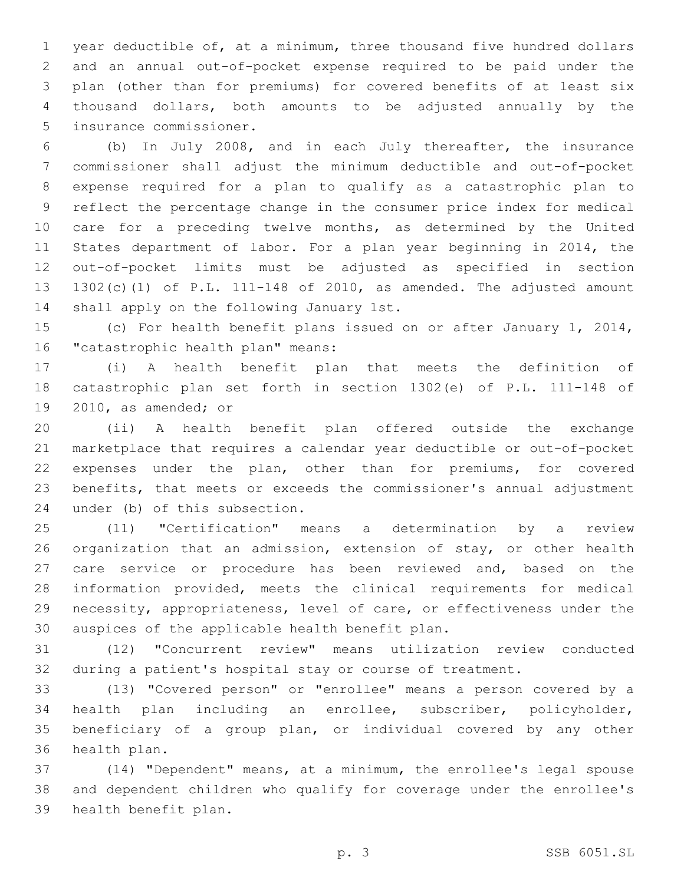year deductible of, at a minimum, three thousand five hundred dollars and an annual out-of-pocket expense required to be paid under the plan (other than for premiums) for covered benefits of at least six thousand dollars, both amounts to be adjusted annually by the 5 insurance commissioner.

 (b) In July 2008, and in each July thereafter, the insurance commissioner shall adjust the minimum deductible and out-of-pocket expense required for a plan to qualify as a catastrophic plan to reflect the percentage change in the consumer price index for medical care for a preceding twelve months, as determined by the United States department of labor. For a plan year beginning in 2014, the out-of-pocket limits must be adjusted as specified in section 1302(c)(1) of P.L. 111-148 of 2010, as amended. The adjusted amount 14 shall apply on the following January 1st.

 (c) For health benefit plans issued on or after January 1, 2014, 16 "catastrophic health plan" means:

 (i) A health benefit plan that meets the definition of catastrophic plan set forth in section 1302(e) of P.L. 111-148 of 19 2010, as amended; or

 (ii) A health benefit plan offered outside the exchange marketplace that requires a calendar year deductible or out-of-pocket expenses under the plan, other than for premiums, for covered benefits, that meets or exceeds the commissioner's annual adjustment 24 under (b) of this subsection.

 (11) "Certification" means a determination by a review organization that an admission, extension of stay, or other health care service or procedure has been reviewed and, based on the information provided, meets the clinical requirements for medical necessity, appropriateness, level of care, or effectiveness under the 30 auspices of the applicable health benefit plan.

 (12) "Concurrent review" means utilization review conducted during a patient's hospital stay or course of treatment.

 (13) "Covered person" or "enrollee" means a person covered by a health plan including an enrollee, subscriber, policyholder, beneficiary of a group plan, or individual covered by any other 36 health plan.

 (14) "Dependent" means, at a minimum, the enrollee's legal spouse and dependent children who qualify for coverage under the enrollee's 39 health benefit plan.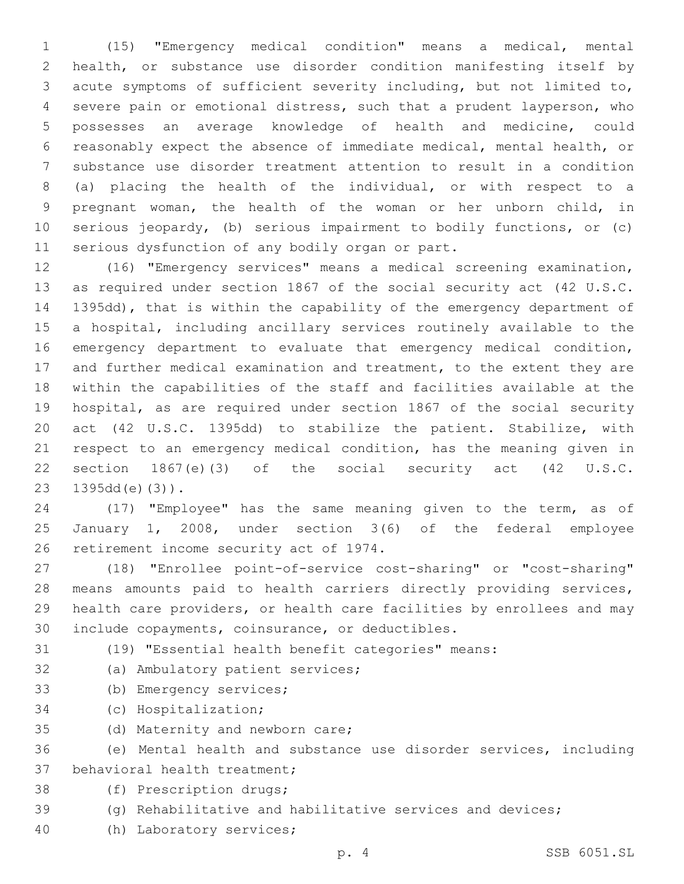(15) "Emergency medical condition" means a medical, mental health, or substance use disorder condition manifesting itself by acute symptoms of sufficient severity including, but not limited to, severe pain or emotional distress, such that a prudent layperson, who possesses an average knowledge of health and medicine, could reasonably expect the absence of immediate medical, mental health, or substance use disorder treatment attention to result in a condition (a) placing the health of the individual, or with respect to a pregnant woman, the health of the woman or her unborn child, in serious jeopardy, (b) serious impairment to bodily functions, or (c) 11 serious dysfunction of any bodily organ or part.

 (16) "Emergency services" means a medical screening examination, as required under section 1867 of the social security act (42 U.S.C. 1395dd), that is within the capability of the emergency department of a hospital, including ancillary services routinely available to the emergency department to evaluate that emergency medical condition, and further medical examination and treatment, to the extent they are within the capabilities of the staff and facilities available at the hospital, as are required under section 1867 of the social security act (42 U.S.C. 1395dd) to stabilize the patient. Stabilize, with respect to an emergency medical condition, has the meaning given in section 1867(e)(3) of the social security act (42 U.S.C.  $1395dd(e)(3)$ .

 (17) "Employee" has the same meaning given to the term, as of January 1, 2008, under section 3(6) of the federal employee 26 retirement income security act of 1974.

 (18) "Enrollee point-of-service cost-sharing" or "cost-sharing" means amounts paid to health carriers directly providing services, health care providers, or health care facilities by enrollees and may 30 include copayments, coinsurance, or deductibles.

(19) "Essential health benefit categories" means:

- 32 (a) Ambulatory patient services;
- 33 (b) Emergency services;
- 34 (c) Hospitalization;
- 35 (d) Maternity and newborn care;

 (e) Mental health and substance use disorder services, including 37 behavioral health treatment;

- 38 (f) Prescription drugs;
- (g) Rehabilitative and habilitative services and devices;
- 40 (h) Laboratory services;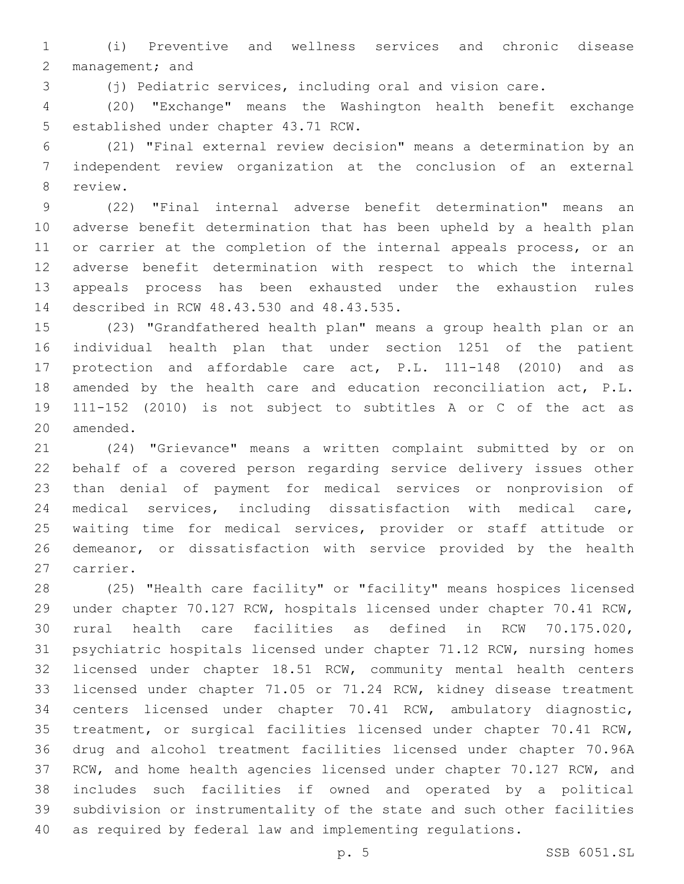(i) Preventive and wellness services and chronic disease 2 management; and

(j) Pediatric services, including oral and vision care.

 (20) "Exchange" means the Washington health benefit exchange 5 established under chapter 43.71 RCW.

 (21) "Final external review decision" means a determination by an independent review organization at the conclusion of an external 8 review.

 (22) "Final internal adverse benefit determination" means an adverse benefit determination that has been upheld by a health plan 11 or carrier at the completion of the internal appeals process, or an adverse benefit determination with respect to which the internal appeals process has been exhausted under the exhaustion rules 14 described in RCW 48.43.530 and 48.43.535.

 (23) "Grandfathered health plan" means a group health plan or an individual health plan that under section 1251 of the patient protection and affordable care act, P.L. 111-148 (2010) and as amended by the health care and education reconciliation act, P.L. 111-152 (2010) is not subject to subtitles A or C of the act as 20 amended.

 (24) "Grievance" means a written complaint submitted by or on behalf of a covered person regarding service delivery issues other than denial of payment for medical services or nonprovision of medical services, including dissatisfaction with medical care, waiting time for medical services, provider or staff attitude or demeanor, or dissatisfaction with service provided by the health 27 carrier.

 (25) "Health care facility" or "facility" means hospices licensed under chapter 70.127 RCW, hospitals licensed under chapter 70.41 RCW, rural health care facilities as defined in RCW 70.175.020, psychiatric hospitals licensed under chapter 71.12 RCW, nursing homes licensed under chapter 18.51 RCW, community mental health centers licensed under chapter 71.05 or 71.24 RCW, kidney disease treatment centers licensed under chapter 70.41 RCW, ambulatory diagnostic, treatment, or surgical facilities licensed under chapter 70.41 RCW, drug and alcohol treatment facilities licensed under chapter 70.96A RCW, and home health agencies licensed under chapter 70.127 RCW, and includes such facilities if owned and operated by a political subdivision or instrumentality of the state and such other facilities as required by federal law and implementing regulations.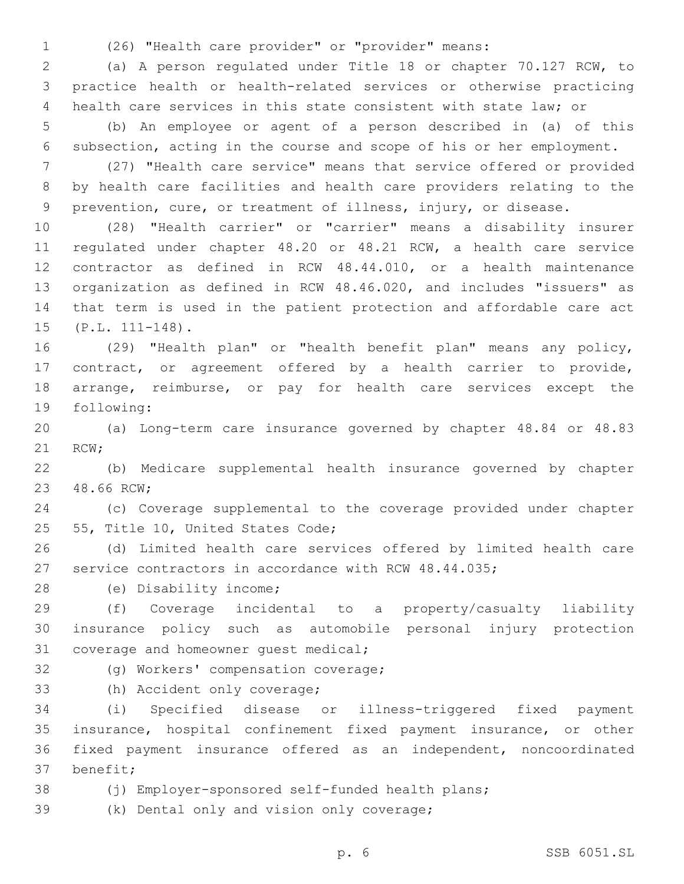(26) "Health care provider" or "provider" means:

 (a) A person regulated under Title 18 or chapter 70.127 RCW, to practice health or health-related services or otherwise practicing health care services in this state consistent with state law; or

 (b) An employee or agent of a person described in (a) of this subsection, acting in the course and scope of his or her employment.

 (27) "Health care service" means that service offered or provided by health care facilities and health care providers relating to the prevention, cure, or treatment of illness, injury, or disease.

 (28) "Health carrier" or "carrier" means a disability insurer regulated under chapter 48.20 or 48.21 RCW, a health care service contractor as defined in RCW 48.44.010, or a health maintenance organization as defined in RCW 48.46.020, and includes "issuers" as that term is used in the patient protection and affordable care act 15 (P.L. 111-148).

 (29) "Health plan" or "health benefit plan" means any policy, contract, or agreement offered by a health carrier to provide, arrange, reimburse, or pay for health care services except the 19 following:

 (a) Long-term care insurance governed by chapter 48.84 or 48.83 21 RCW;

 (b) Medicare supplemental health insurance governed by chapter 23 48.66 RCW:

 (c) Coverage supplemental to the coverage provided under chapter 25 55, Title 10, United States Code;

 (d) Limited health care services offered by limited health care service contractors in accordance with RCW 48.44.035;

28 (e) Disability income;

 (f) Coverage incidental to a property/casualty liability insurance policy such as automobile personal injury protection 31 coverage and homeowner quest medical;

32 (g) Workers' compensation coverage;

33 (h) Accident only coverage;

 (i) Specified disease or illness-triggered fixed payment insurance, hospital confinement fixed payment insurance, or other fixed payment insurance offered as an independent, noncoordinated 37 benefit;

(j) Employer-sponsored self-funded health plans;

39 (k) Dental only and vision only coverage;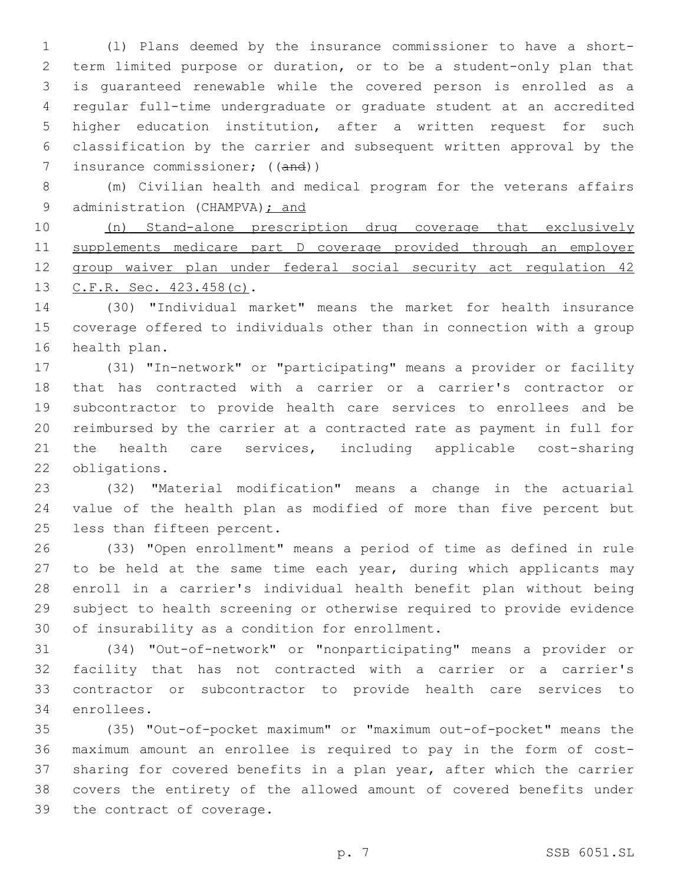(l) Plans deemed by the insurance commissioner to have a short- term limited purpose or duration, or to be a student-only plan that is guaranteed renewable while the covered person is enrolled as a regular full-time undergraduate or graduate student at an accredited higher education institution, after a written request for such classification by the carrier and subsequent written approval by the 7 insurance commissioner; ((and))

 (m) Civilian health and medical program for the veterans affairs 9 administration (CHAMPVA); and

 (n) Stand-alone prescription drug coverage that exclusively supplements medicare part D coverage provided through an employer 12 group waiver plan under federal social security act regulation 42 13 C.F.R. Sec. 423.458(c).

 (30) "Individual market" means the market for health insurance coverage offered to individuals other than in connection with a group 16 health plan.

 (31) "In-network" or "participating" means a provider or facility that has contracted with a carrier or a carrier's contractor or subcontractor to provide health care services to enrollees and be reimbursed by the carrier at a contracted rate as payment in full for the health care services, including applicable cost-sharing 22 obligations.

 (32) "Material modification" means a change in the actuarial value of the health plan as modified of more than five percent but 25 less than fifteen percent.

 (33) "Open enrollment" means a period of time as defined in rule to be held at the same time each year, during which applicants may enroll in a carrier's individual health benefit plan without being subject to health screening or otherwise required to provide evidence 30 of insurability as a condition for enrollment.

 (34) "Out-of-network" or "nonparticipating" means a provider or facility that has not contracted with a carrier or a carrier's contractor or subcontractor to provide health care services to 34 enrollees.

 (35) "Out-of-pocket maximum" or "maximum out-of-pocket" means the maximum amount an enrollee is required to pay in the form of cost- sharing for covered benefits in a plan year, after which the carrier covers the entirety of the allowed amount of covered benefits under 39 the contract of coverage.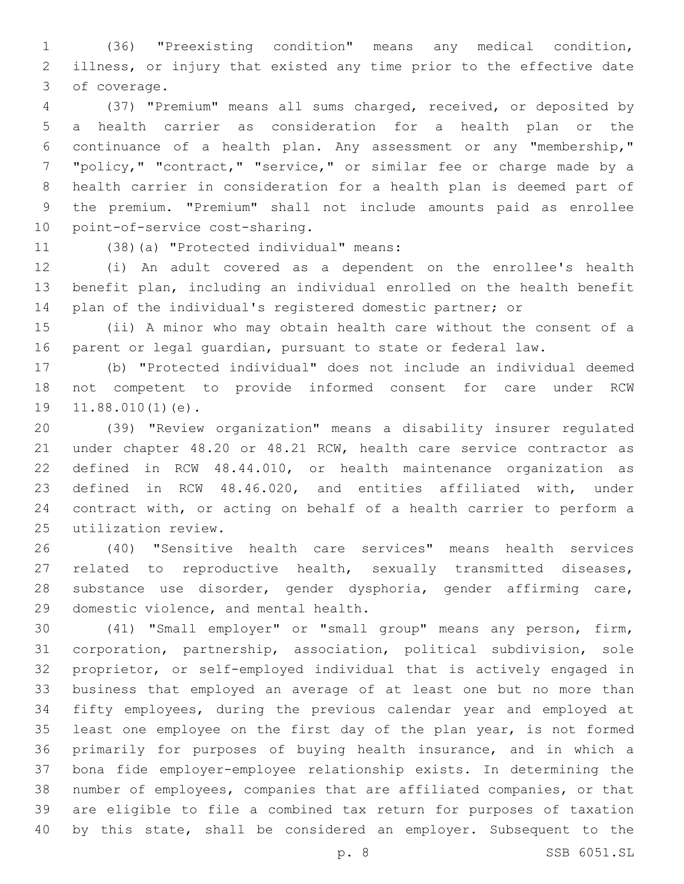(36) "Preexisting condition" means any medical condition, illness, or injury that existed any time prior to the effective date 3 of coverage.

 (37) "Premium" means all sums charged, received, or deposited by a health carrier as consideration for a health plan or the continuance of a health plan. Any assessment or any "membership," "policy," "contract," "service," or similar fee or charge made by a health carrier in consideration for a health plan is deemed part of the premium. "Premium" shall not include amounts paid as enrollee 10 point-of-service cost-sharing.

11 (38)(a) "Protected individual" means:

 (i) An adult covered as a dependent on the enrollee's health benefit plan, including an individual enrolled on the health benefit plan of the individual's registered domestic partner; or

 (ii) A minor who may obtain health care without the consent of a parent or legal guardian, pursuant to state or federal law.

 (b) "Protected individual" does not include an individual deemed not competent to provide informed consent for care under RCW 19 11.88.010(1)(e).

 (39) "Review organization" means a disability insurer regulated under chapter 48.20 or 48.21 RCW, health care service contractor as defined in RCW 48.44.010, or health maintenance organization as defined in RCW 48.46.020, and entities affiliated with, under contract with, or acting on behalf of a health carrier to perform a utilization review.25

 (40) "Sensitive health care services" means health services related to reproductive health, sexually transmitted diseases, substance use disorder, gender dysphoria, gender affirming care, 29 domestic violence, and mental health.

 (41) "Small employer" or "small group" means any person, firm, corporation, partnership, association, political subdivision, sole proprietor, or self-employed individual that is actively engaged in business that employed an average of at least one but no more than fifty employees, during the previous calendar year and employed at 35 least one employee on the first day of the plan year, is not formed primarily for purposes of buying health insurance, and in which a bona fide employer-employee relationship exists. In determining the number of employees, companies that are affiliated companies, or that are eligible to file a combined tax return for purposes of taxation by this state, shall be considered an employer. Subsequent to the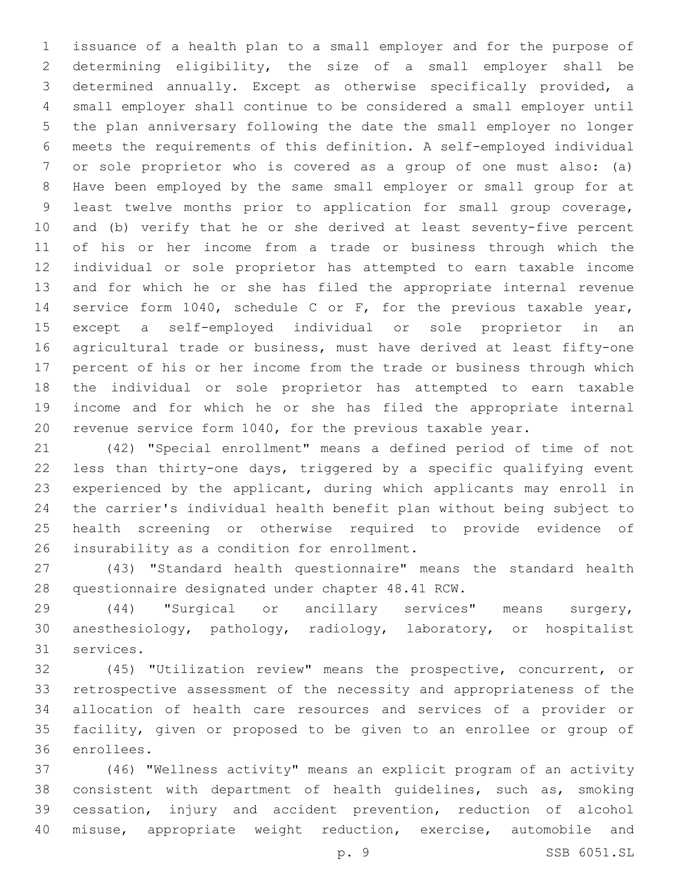issuance of a health plan to a small employer and for the purpose of determining eligibility, the size of a small employer shall be determined annually. Except as otherwise specifically provided, a small employer shall continue to be considered a small employer until the plan anniversary following the date the small employer no longer meets the requirements of this definition. A self-employed individual or sole proprietor who is covered as a group of one must also: (a) Have been employed by the same small employer or small group for at least twelve months prior to application for small group coverage, and (b) verify that he or she derived at least seventy-five percent of his or her income from a trade or business through which the individual or sole proprietor has attempted to earn taxable income and for which he or she has filed the appropriate internal revenue service form 1040, schedule C or F, for the previous taxable year, except a self-employed individual or sole proprietor in an agricultural trade or business, must have derived at least fifty-one percent of his or her income from the trade or business through which the individual or sole proprietor has attempted to earn taxable income and for which he or she has filed the appropriate internal revenue service form 1040, for the previous taxable year.

 (42) "Special enrollment" means a defined period of time of not less than thirty-one days, triggered by a specific qualifying event experienced by the applicant, during which applicants may enroll in the carrier's individual health benefit plan without being subject to health screening or otherwise required to provide evidence of 26 insurability as a condition for enrollment.

 (43) "Standard health questionnaire" means the standard health 28 questionnaire designated under chapter 48.41 RCW.

 (44) "Surgical or ancillary services" means surgery, anesthesiology, pathology, radiology, laboratory, or hospitalist 31 services.

 (45) "Utilization review" means the prospective, concurrent, or retrospective assessment of the necessity and appropriateness of the allocation of health care resources and services of a provider or facility, given or proposed to be given to an enrollee or group of 36 enrollees.

 (46) "Wellness activity" means an explicit program of an activity consistent with department of health guidelines, such as, smoking cessation, injury and accident prevention, reduction of alcohol misuse, appropriate weight reduction, exercise, automobile and

p. 9 SSB 6051.SL